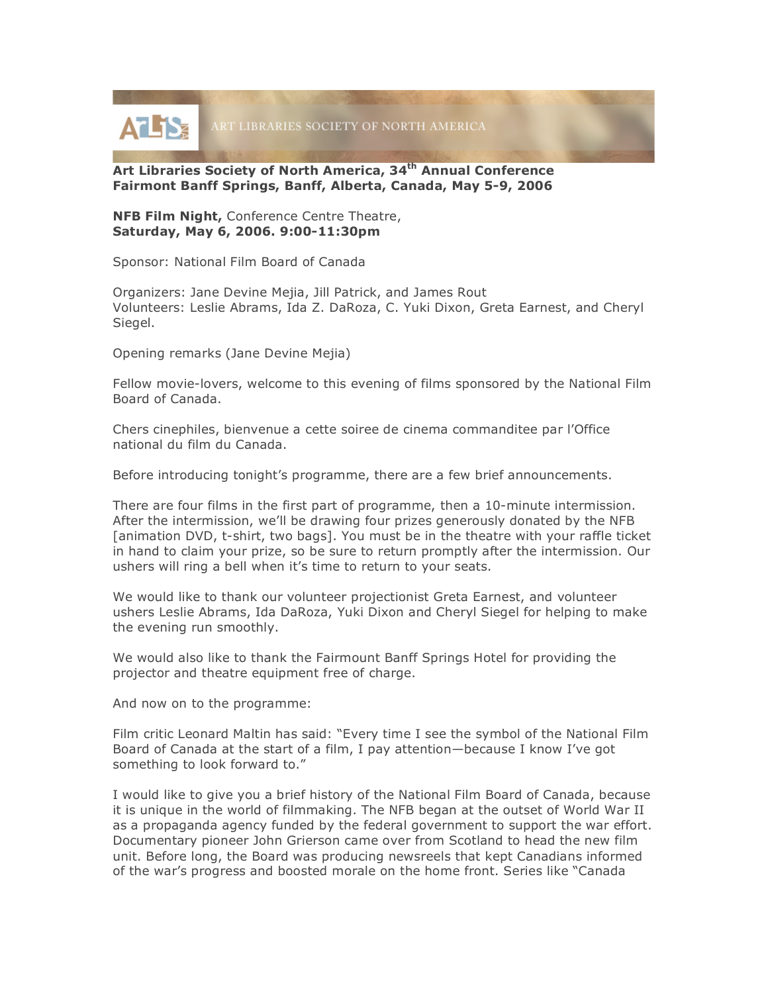

## **Art Libraries Society of North America, 34th Annual Conference Fairmont Banff Springs, Banff, Alberta, Canada, May 5-9, 2006**

**NFB Film Night,** Conference Centre Theatre, **Saturday, May 6, 2006. 9:00-11:30pm**

Sponsor: National Film Board of Canada

Organizers: Jane Devine Mejia, Jill Patrick, and James Rout Volunteers: Leslie Abrams, Ida Z. DaRoza, C. Yuki Dixon, Greta Earnest, and Cheryl Siegel.

Opening remarks (Jane Devine Mejia)

Fellow movie-lovers, welcome to this evening of films sponsored by the National Film Board of Canada.

Chers cinephiles, bienvenue a cette soiree de cinema commanditee par l'Office national du film du Canada.

Before introducing tonight's programme, there are a few brief announcements.

There are four films in the first part of programme, then a 10-minute intermission. After the intermission, we'll be drawing four prizes generously donated by the NFB [animation DVD, t-shirt, two bags]. You must be in the theatre with your raffle ticket in hand to claim your prize, so be sure to return promptly after the intermission. Our ushers will ring a bell when it's time to return to your seats.

We would like to thank our volunteer projectionist Greta Earnest, and volunteer ushers Leslie Abrams, Ida DaRoza, Yuki Dixon and Cheryl Siegel for helping to make the evening run smoothly.

We would also like to thank the Fairmount Banff Springs Hotel for providing the projector and theatre equipment free of charge.

And now on to the programme:

Film critic Leonard Maltin has said: "Every time I see the symbol of the National Film Board of Canada at the start of a film, I pay attention—because I know I've got something to look forward to."

I would like to give you a brief history of the National Film Board of Canada, because it is unique in the world of filmmaking. The NFB began at the outset of World War II as a propaganda agency funded by the federal government to support the war effort. Documentary pioneer John Grierson came over from Scotland to head the new film unit. Before long, the Board was producing newsreels that kept Canadians informed of the war's progress and boosted morale on the home front. Series like "Canada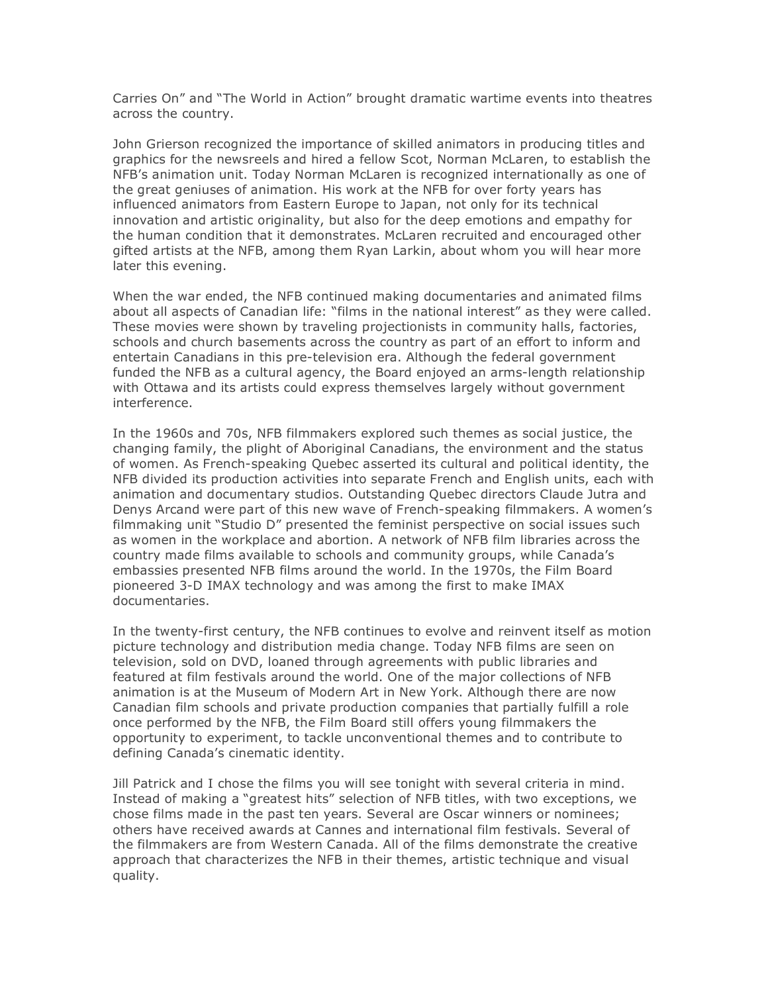Carries On" and "The World in Action" brought dramatic wartime events into theatres across the country.

John Grierson recognized the importance of skilled animators in producing titles and graphics for the newsreels and hired a fellow Scot, Norman McLaren, to establish the NFB's animation unit. Today Norman McLaren is recognized internationally as one of the great geniuses of animation. His work at the NFB for over forty years has influenced animators from Eastern Europe to Japan, not only for its technical innovation and artistic originality, but also for the deep emotions and empathy for the human condition that it demonstrates. McLaren recruited and encouraged other gifted artists at the NFB, among them Ryan Larkin, about whom you will hear more later this evening.

When the war ended, the NFB continued making documentaries and animated films about all aspects of Canadian life: "films in the national interest" as they were called. These movies were shown by traveling projectionists in community halls, factories, schools and church basements across the country as part of an effort to inform and entertain Canadians in this pre-television era. Although the federal government funded the NFB as a cultural agency, the Board enjoyed an arms-length relationship with Ottawa and its artists could express themselves largely without government interference.

In the 1960s and 70s, NFB filmmakers explored such themes as social justice, the changing family, the plight of Aboriginal Canadians, the environment and the status of women. As French-speaking Quebec asserted its cultural and political identity, the NFB divided its production activities into separate French and English units, each with animation and documentary studios. Outstanding Quebec directors Claude Jutra and Denys Arcand were part of this new wave of French-speaking filmmakers. A women's filmmaking unit "Studio D" presented the feminist perspective on social issues such as women in the workplace and abortion. A network of NFB film libraries across the country made films available to schools and community groups, while Canada's embassies presented NFB films around the world. In the 1970s, the Film Board pioneered 3-D IMAX technology and was among the first to make IMAX documentaries.

In the twenty-first century, the NFB continues to evolve and reinvent itself as motion picture technology and distribution media change. Today NFB films are seen on television, sold on DVD, loaned through agreements with public libraries and featured at film festivals around the world. One of the major collections of NFB animation is at the Museum of Modern Art in New York. Although there are now Canadian film schools and private production companies that partially fulfill a role once performed by the NFB, the Film Board still offers young filmmakers the opportunity to experiment, to tackle unconventional themes and to contribute to defining Canada's cinematic identity.

Jill Patrick and I chose the films you will see tonight with several criteria in mind. Instead of making a "greatest hits" selection of NFB titles, with two exceptions, we chose films made in the past ten years. Several are Oscar winners or nominees; others have received awards at Cannes and international film festivals. Several of the filmmakers are from Western Canada. All of the films demonstrate the creative approach that characterizes the NFB in their themes, artistic technique and visual quality.